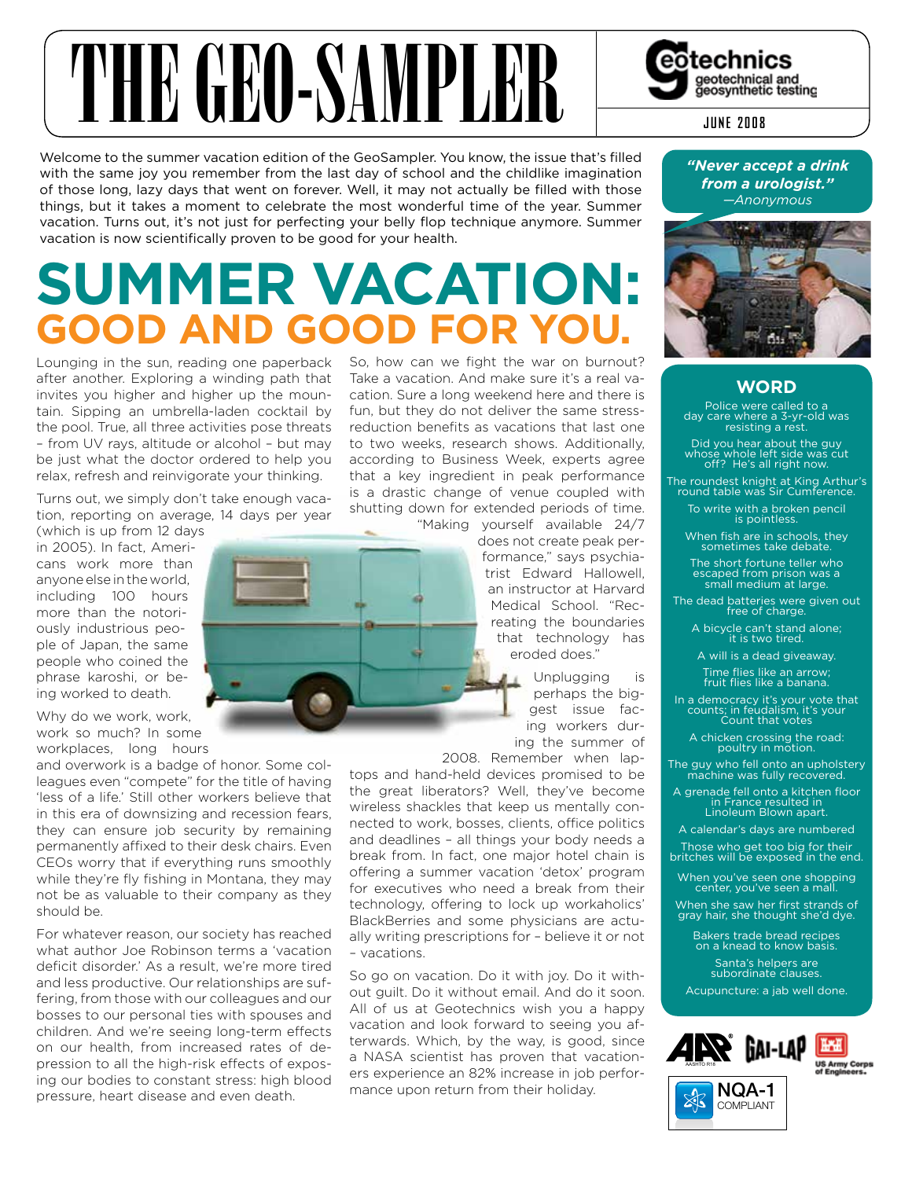# THE GEORGIAN PLER Sected and sected and sected and sected and sected and sected and sected and sected and sected and sected and sected and sected and section of  $\blacksquare$

Welcome to the summer vacation edition of the GeoSampler. You know, the issue that's filled with the same joy you remember from the last day of school and the childlike imagination of those long, lazy days that went on forever. Well, it may not actually be filled with those things, but it takes a moment to celebrate the most wonderful time of the year. Summer vacation. Turns out, it's not just for perfecting your belly flop technique anymore. Summer vacation is now scientifically proven to be good for your health.

# **SummeR VacatiOn: GOOD anD GOOD fOR YOu.**

Lounging in the sun, reading one paperback after another. Exploring a winding path that invites you higher and higher up the mountain. Sipping an umbrella-laden cocktail by the pool. True, all three activities pose threats – from UV rays, altitude or alcohol – but may be just what the doctor ordered to help you relax, refresh and reinvigorate your thinking.

Turns out, we simply don't take enough vacation, reporting on average, 14 days per year

(which is up from 12 days in 2005). In fact, Americans work more than anyone else in the world, including 100 hours more than the notoriously industrious people of Japan, the same people who coined the phrase karoshi, or being worked to death.

Why do we work, work, work so much? In some workplaces, long hours

and overwork is a badge of honor. Some colleagues even "compete" for the title of having 'less of a life.' Still other workers believe that in this era of downsizing and recession fears, they can ensure job security by remaining permanently affixed to their desk chairs. Even CEOs worry that if everything runs smoothly while they're fly fishing in Montana, they may not be as valuable to their company as they should be.

For whatever reason, our society has reached what author Joe Robinson terms a 'vacation deficit disorder.' As a result, we're more tired and less productive. Our relationships are suffering, from those with our colleagues and our bosses to our personal ties with spouses and children. And we're seeing long-term effects on our health, from increased rates of depression to all the high-risk effects of exposing our bodies to constant stress: high blood pressure, heart disease and even death.

So, how can we fight the war on burnout? Take a vacation. And make sure it's a real vacation. Sure a long weekend here and there is fun, but they do not deliver the same stressreduction benefits as vacations that last one to two weeks, research shows. Additionally, according to Business Week, experts agree that a key ingredient in peak performance is a drastic change of venue coupled with shutting down for extended periods of time. "Making yourself available 24/7

does not create peak performance," says psychiatrist Edward Hallowell, an instructor at Harvard Medical School. "Recreating the boundaries that technology has eroded does."

> Unplugging is perhaps the biggest issue facing workers during the summer of

2008. Remember when laptops and hand-held devices promised to be the great liberators? Well, they've become wireless shackles that keep us mentally connected to work, bosses, clients, office politics and deadlines – all things your body needs a break from. In fact, one major hotel chain is offering a summer vacation 'detox' program for executives who need a break from their technology, offering to lock up workaholics' BlackBerries and some physicians are actually writing prescriptions for – believe it or not – vacations.

So go on vacation. Do it with joy. Do it without guilt. Do it without email. And do it soon. All of us at Geotechnics wish you a happy vacation and look forward to seeing you afterwards. Which, by the way, is good, since a NASA scientist has proven that vacationers experience an 82% increase in job performance upon return from their holiday.

# *"Never accept a drink from a urologist."*

*—Anonymous*



# **WORD**

Police were called to a day care where a 3-yr-old was resisting a rest.

Did you hear about the guy whose whole left side was cut off? He's all right now.

The roundest knight at King Arthur's round table was Sir Cumference.

To write with a broken pencil is pointless.

When fish are in schools, they sometimes take debate.

The short fortune teller who escaped from prison was a small medium at large.

The dead batteries were given out free of charge.

A bicycle can't stand alone; it is two tired.

A will is a dead giveaway. Time flies like an arrow; fruit flies like a banana.

In a democracy it's your vote that counts; in feudalism, it's your Count that votes

A chicken crossing the road: poultry in motion.

The guy who fell onto an upholstery machine was fully recovered.

A grenade fell onto a kitchen floor in France resulted in Linoleum Blown apart.

A calendar's days are numbered Those who get too big for their britches will be exposed in the end.

When you've seen one shopping center, you've seen a mall.

When she saw her first strands of gray hair, she thought she'd dye.

Bakers trade bread recipes on a knead to know basis. Santa's helpers are subordinate clauses.

Acupuncture: a jab well done.